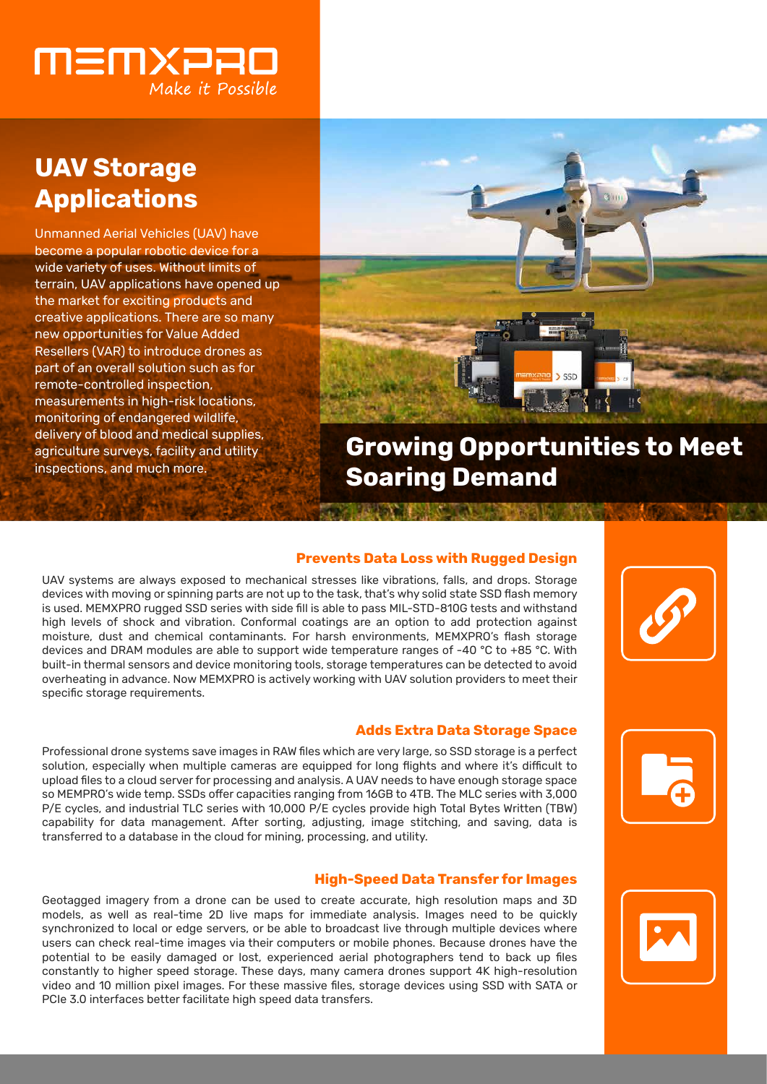

# **UAV Storage Applications**

Unmanned Aerial Vehicles (UAV) have become a popular robotic device for a wide variety of uses. Without limits of terrain, UAV applications have opened up the market for exciting products and creative applications. There are so many new opportunities for Value Added Resellers (VAR) to introduce drones as part of an overall solution such as for remote-controlled inspection, measurements in high-risk locations, monitoring of endangered wildlife, delivery of blood and medical supplies, agriculture surveys, facility and utility inspections, and much more.



**Growing Opportunities to Meet Soaring Demand**

### **Prevents Data Loss with Rugged Design**

UAV systems are always exposed to mechanical stresses like vibrations, falls, and drops. Storage devices with moving or spinning parts are not up to the task, that's why solid state SSD flash memory is used. MEMXPRO rugged SSD series with side fill is able to pass MIL-STD-810G tests and withstand high levels of shock and vibration. Conformal coatings are an option to add protection against moisture, dust and chemical contaminants. For harsh environments, MEMXPRO's flash storage devices and DRAM modules are able to support wide temperature ranges of -40 °C to +85 °C. With built-in thermal sensors and device monitoring tools, storage temperatures can be detected to avoid overheating in advance. Now MEMXPRO is actively working with UAV solution providers to meet their specific storage requirements.

### **Adds Extra Data Storage Space**

Professional drone systems save images in RAW files which are very large, so SSD storage is a perfect solution, especially when multiple cameras are equipped for long flights and where it's difficult to upload files to a cloud server for processing and analysis. A UAV needs to have enough storage space so MEMPRO's wide temp. SSDs offer capacities ranging from 16GB to 4TB. The MLC series with 3,000 P/E cycles, and industrial TLC series with 10,000 P/E cycles provide high Total Bytes Written (TBW) capability for data management. After sorting, adjusting, image stitching, and saving, data is transferred to a database in the cloud for mining, processing, and utility.

### **High-Speed Data Transfer for Images**

Geotagged imagery from a drone can be used to create accurate, high resolution maps and 3D models, as well as real-time 2D live maps for immediate analysis. Images need to be quickly synchronized to local or edge servers, or be able to broadcast live through multiple devices where users can check real-time images via their computers or mobile phones. Because drones have the potential to be easily damaged or lost, experienced aerial photographers tend to back up files constantly to higher speed storage. These days, many camera drones support 4K high-resolution video and 10 million pixel images. For these massive files, storage devices using SSD with SATA or PCIe 3.0 interfaces better facilitate high speed data transfers.